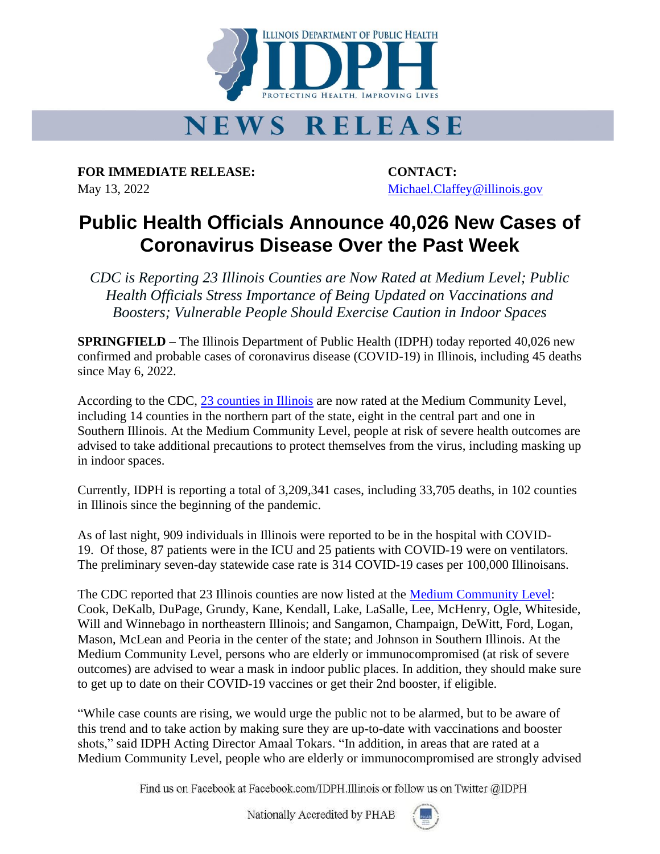

## **NEWS RELEASE**

**FOR IMMEDIATE RELEASE: CONTACT:** May 13, 2022 Michael.Claffey @illinois.gov

## **Public Health Officials Announce 40,026 New Cases of Coronavirus Disease Over the Past Week**

*CDC is Reporting 23 Illinois Counties are Now Rated at Medium Level; Public Health Officials Stress Importance of Being Updated on Vaccinations and Boosters; Vulnerable People Should Exercise Caution in Indoor Spaces*

**SPRINGFIELD** – The Illinois Department of Public Health (IDPH) today reported 40,026 new confirmed and probable cases of coronavirus disease (COVID-19) in Illinois, including 45 deaths since May 6, 2022.

According to the CDC, 23 [counties in Illinois](https://dph.illinois.gov/covid19.html) are now rated at the Medium Community Level, including 14 counties in the northern part of the state, eight in the central part and one in Southern Illinois. At the Medium Community Level, people at risk of severe health outcomes are advised to take additional precautions to protect themselves from the virus, including masking up in indoor spaces.

Currently, IDPH is reporting a total of 3,209,341 cases, including 33,705 deaths, in 102 counties in Illinois since the beginning of the pandemic.

As of last night, 909 individuals in Illinois were reported to be in the hospital with COVID-19. Of those, 87 patients were in the ICU and 25 patients with COVID-19 were on ventilators. The preliminary seven-day statewide case rate is 314 COVID-19 cases per 100,000 Illinoisans.

The CDC reported that 23 Illinois counties are now listed at the [Medium Community Level:](https://www.cdc.gov/coronavirus/2019-ncov/science/community-levels.html) Cook, DeKalb, DuPage, Grundy, Kane, Kendall, Lake, LaSalle, Lee, McHenry, Ogle, Whiteside, Will and Winnebago in northeastern Illinois; and Sangamon, Champaign, DeWitt, Ford, Logan, Mason, McLean and Peoria in the center of the state; and Johnson in Southern Illinois. At the Medium Community Level, persons who are elderly or immunocompromised (at risk of severe outcomes) are advised to wear a mask in indoor public places. In addition, they should make sure to get up to date on their COVID-19 vaccines or get their 2nd booster, if eligible.

"While case counts are rising, we would urge the public not to be alarmed, but to be aware of this trend and to take action by making sure they are up-to-date with vaccinations and booster shots," said IDPH Acting Director Amaal Tokars. "In addition, in areas that are rated at a Medium Community Level, people who are elderly or immunocompromised are strongly advised

Find us on Facebook at Facebook.com/IDPH.Illinois or follow us on Twitter @IDPH

Nationally Accredited by PHAB